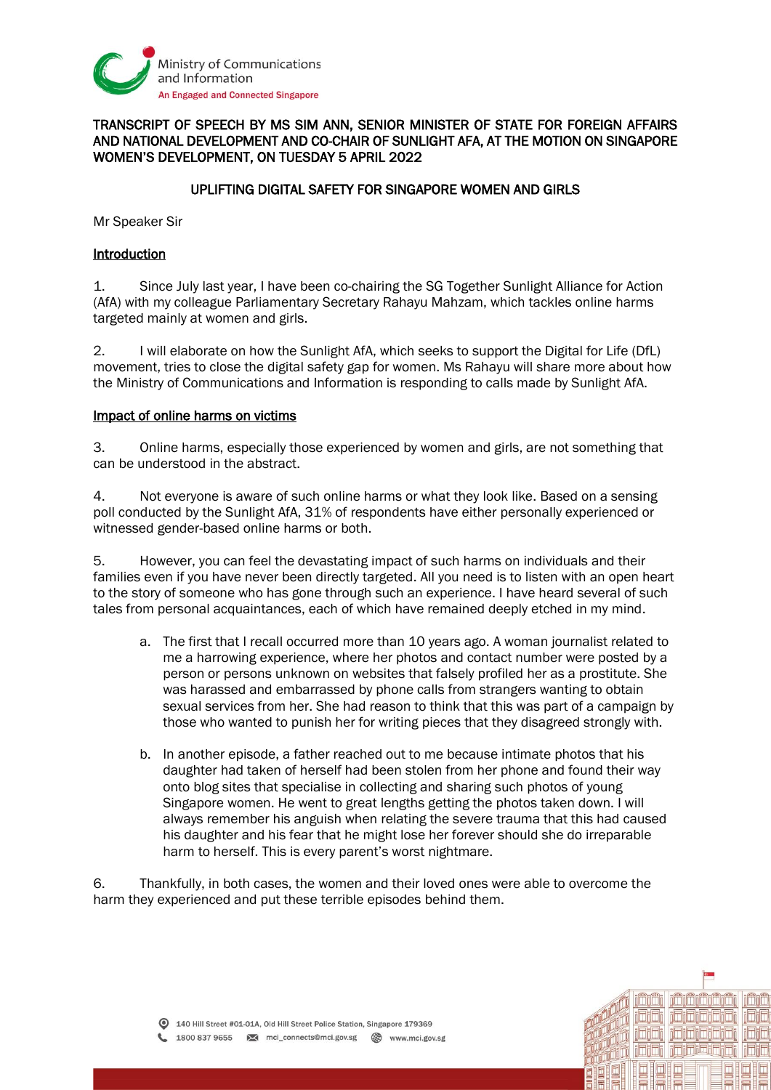

## TRANSCRIPT OF SPEECH BY MS SIM ANN, SENIOR MINISTER OF STATE FOR FOREIGN AFFAIRS AND NATIONAL DEVELOPMENT AND CO-CHAIR OF SUNLIGHT AFA, AT THE MOTION ON SINGAPORE WOMEN'S DEVELOPMENT, ON TUESDAY 5 APRIL 2022

## UPLIFTING DIGITAL SAFETY FOR SINGAPORE WOMEN AND GIRLS

Mr Speaker Sir

## Introduction

1. Since July last year, I have been co-chairing the SG Together Sunlight Alliance for Action (AfA) with my colleague Parliamentary Secretary Rahayu Mahzam, which tackles online harms targeted mainly at women and girls.

2. I will elaborate on how the Sunlight AfA, which seeks to support the Digital for Life (DfL) movement, tries to close the digital safety gap for women. Ms Rahayu will share more about how the Ministry of Communications and Information is responding to calls made by Sunlight AfA.

#### Impact of online harms on victims

3. Online harms, especially those experienced by women and girls, are not something that can be understood in the abstract.

4. Not everyone is aware of such online harms or what they look like. Based on a sensing poll conducted by the Sunlight AfA, 31% of respondents have either personally experienced or witnessed gender-based online harms or both.

5. However, you can feel the devastating impact of such harms on individuals and their families even if you have never been directly targeted. All you need is to listen with an open heart to the story of someone who has gone through such an experience. I have heard several of such tales from personal acquaintances, each of which have remained deeply etched in my mind.

- a. The first that I recall occurred more than 10 years ago. A woman journalist related to me a harrowing experience, where her photos and contact number were posted by a person or persons unknown on websites that falsely profiled her as a prostitute. She was harassed and embarrassed by phone calls from strangers wanting to obtain sexual services from her. She had reason to think that this was part of a campaign by those who wanted to punish her for writing pieces that they disagreed strongly with.
- b. In another episode, a father reached out to me because intimate photos that his daughter had taken of herself had been stolen from her phone and found their way onto blog sites that specialise in collecting and sharing such photos of young Singapore women. He went to great lengths getting the photos taken down. I will always remember his anguish when relating the severe trauma that this had caused his daughter and his fear that he might lose her forever should she do irreparable harm to herself. This is every parent's worst nightmare.

6. Thankfully, in both cases, the women and their loved ones were able to overcome the harm they experienced and put these terrible episodes behind them.

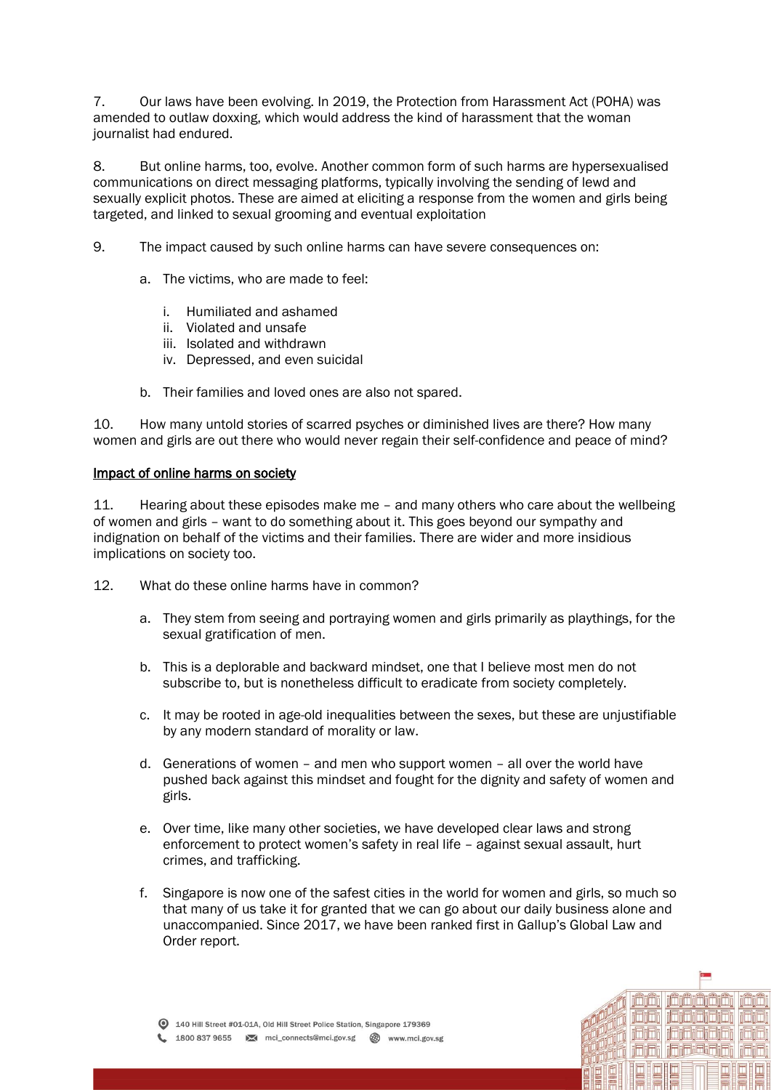7. Our laws have been evolving. In 2019, the Protection from Harassment Act (POHA) was amended to outlaw doxxing, which would address the kind of harassment that the woman journalist had endured.

8. But online harms, too, evolve. Another common form of such harms are hypersexualised communications on direct messaging platforms, typically involving the sending of lewd and sexually explicit photos. These are aimed at eliciting a response from the women and girls being targeted, and linked to sexual grooming and eventual exploitation

- 9. The impact caused by such online harms can have severe consequences on:
	- a. The victims, who are made to feel:
		- i. Humiliated and ashamed
		- ii. Violated and unsafe
		- iii. Isolated and withdrawn
		- iv. Depressed, and even suicidal
	- b. Their families and loved ones are also not spared.

10. How many untold stories of scarred psyches or diminished lives are there? How many women and girls are out there who would never regain their self-confidence and peace of mind?

#### Impact of online harms on society

11. Hearing about these episodes make me – and many others who care about the wellbeing of women and girls – want to do something about it. This goes beyond our sympathy and indignation on behalf of the victims and their families. There are wider and more insidious implications on society too.

- 12. What do these online harms have in common?
	- a. They stem from seeing and portraying women and girls primarily as playthings, for the sexual gratification of men.
	- b. This is a deplorable and backward mindset, one that I believe most men do not subscribe to, but is nonetheless difficult to eradicate from society completely.
	- c. It may be rooted in age-old inequalities between the sexes, but these are unjustifiable by any modern standard of morality or law.
	- d. Generations of women and men who support women all over the world have pushed back against this mindset and fought for the dignity and safety of women and girls.
	- e. Over time, like many other societies, we have developed clear laws and strong enforcement to protect women's safety in real life – against sexual assault, hurt crimes, and trafficking.
	- f. Singapore is now one of the safest cities in the world for women and girls, so much so that many of us take it for granted that we can go about our daily business alone and unaccompanied. Since 2017, we have been ranked first in Gallup's Global Law and Order report.

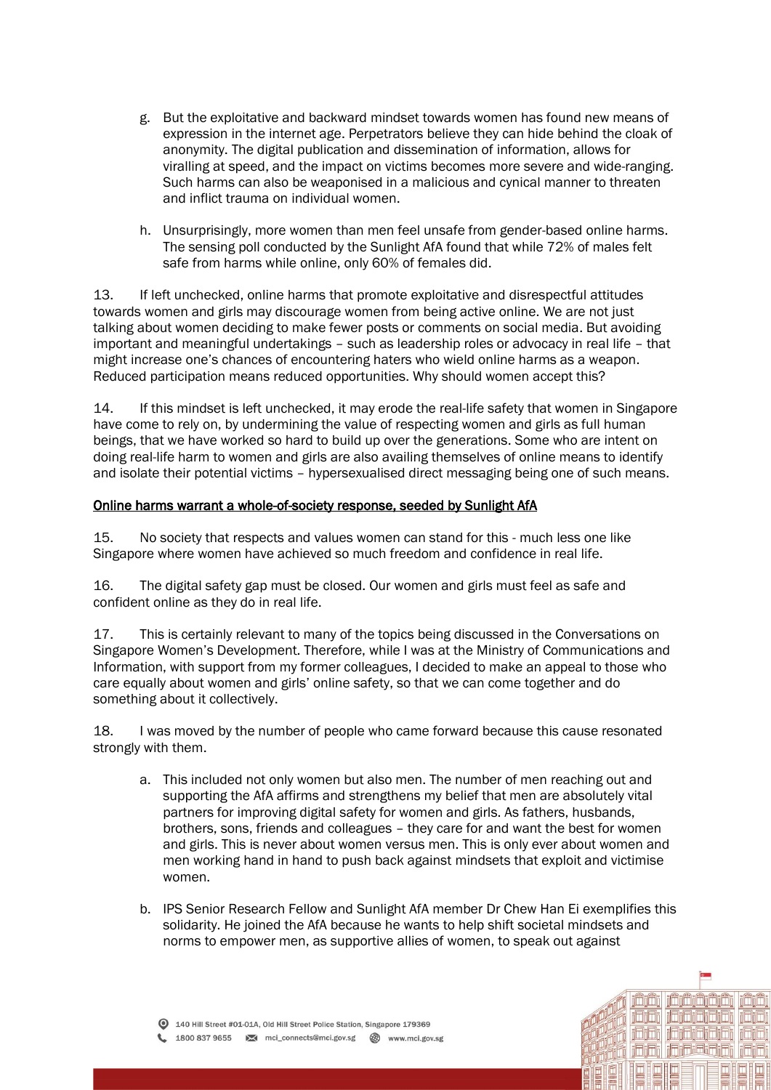- g. But the exploitative and backward mindset towards women has found new means of expression in the internet age. Perpetrators believe they can hide behind the cloak of anonymity. The digital publication and dissemination of information, allows for viralling at speed, and the impact on victims becomes more severe and wide-ranging. Such harms can also be weaponised in a malicious and cynical manner to threaten and inflict trauma on individual women.
- h. Unsurprisingly, more women than men feel unsafe from gender-based online harms. The sensing poll conducted by the Sunlight AfA found that while 72% of males felt safe from harms while online, only 60% of females did.

13. If left unchecked, online harms that promote exploitative and disrespectful attitudes towards women and girls may discourage women from being active online. We are not just talking about women deciding to make fewer posts or comments on social media. But avoiding important and meaningful undertakings – such as leadership roles or advocacy in real life – that might increase one's chances of encountering haters who wield online harms as a weapon. Reduced participation means reduced opportunities. Why should women accept this?

14. If this mindset is left unchecked, it may erode the real-life safety that women in Singapore have come to rely on, by undermining the value of respecting women and girls as full human beings, that we have worked so hard to build up over the generations. Some who are intent on doing real-life harm to women and girls are also availing themselves of online means to identify and isolate their potential victims – hypersexualised direct messaging being one of such means.

## Online harms warrant a whole-of-society response, seeded by Sunlight AfA

15. No society that respects and values women can stand for this - much less one like Singapore where women have achieved so much freedom and confidence in real life.

16. The digital safety gap must be closed. Our women and girls must feel as safe and confident online as they do in real life.

17. This is certainly relevant to many of the topics being discussed in the Conversations on Singapore Women's Development. Therefore, while I was at the Ministry of Communications and Information, with support from my former colleagues, I decided to make an appeal to those who care equally about women and girls' online safety, so that we can come together and do something about it collectively.

18. I was moved by the number of people who came forward because this cause resonated strongly with them.

- a. This included not only women but also men. The number of men reaching out and supporting the AfA affirms and strengthens my belief that men are absolutely vital partners for improving digital safety for women and girls. As fathers, husbands, brothers, sons, friends and colleagues – they care for and want the best for women and girls. This is never about women versus men. This is only ever about women and men working hand in hand to push back against mindsets that exploit and victimise women.
- b. IPS Senior Research Fellow and Sunlight AfA member Dr Chew Han Ei exemplifies this solidarity. He joined the AfA because he wants to help shift societal mindsets and norms to empower men, as supportive allies of women, to speak out against

ilmimii

i oʻri i dojaj oʻri

ididi jaidididi

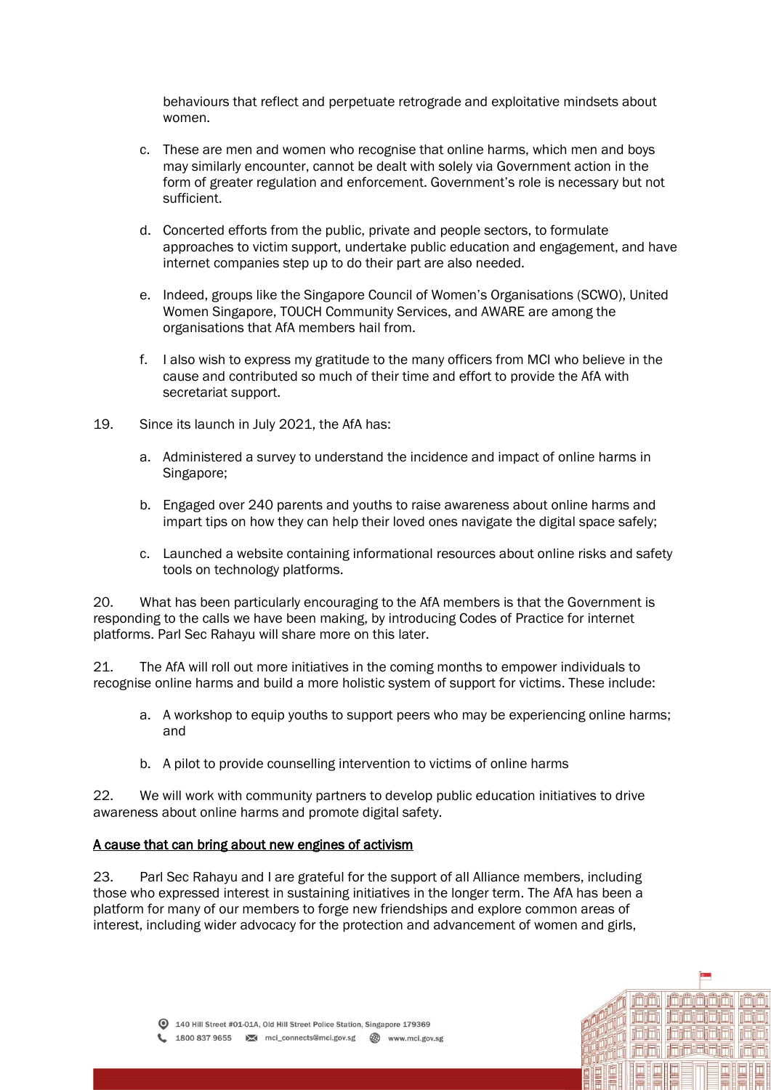behaviours that reflect and perpetuate retrograde and exploitative mindsets about women.

- c. These are men and women who recognise that online harms, which men and boys may similarly encounter, cannot be dealt with solely via Government action in the form of greater regulation and enforcement. Government's role is necessary but not sufficient.
- d. Concerted efforts from the public, private and people sectors, to formulate approaches to victim support, undertake public education and engagement, and have internet companies step up to do their part are also needed.
- e. Indeed, groups like the Singapore Council of Women's Organisations (SCWO), United Women Singapore, TOUCH Community Services, and AWARE are among the organisations that AfA members hail from.
- f. I also wish to express my gratitude to the many officers from MCI who believe in the cause and contributed so much of their time and effort to provide the AfA with secretariat support.
- 19. Since its launch in July 2021, the AfA has:
	- a. Administered a survey to understand the incidence and impact of online harms in Singapore;
	- b. Engaged over 240 parents and youths to raise awareness about online harms and impart tips on how they can help their loved ones navigate the digital space safely;
	- c. Launched a website containing informational resources about online risks and safety tools on technology platforms.

20. What has been particularly encouraging to the AfA members is that the Government is responding to the calls we have been making, by introducing Codes of Practice for internet platforms. Parl Sec Rahayu will share more on this later.

21. The AfA will roll out more initiatives in the coming months to empower individuals to recognise online harms and build a more holistic system of support for victims. These include:

- a. A workshop to equip youths to support peers who may be experiencing online harms; and
- b. A pilot to provide counselling intervention to victims of online harms

22. We will work with community partners to develop public education initiatives to drive awareness about online harms and promote digital safety.

# A cause that can bring about new engines of activism

23. Parl Sec Rahayu and I are grateful for the support of all Alliance members, including those who expressed interest in sustaining initiatives in the longer term. The AfA has been a platform for many of our members to forge new friendships and explore common areas of interest, including wider advocacy for the protection and advancement of women and girls,